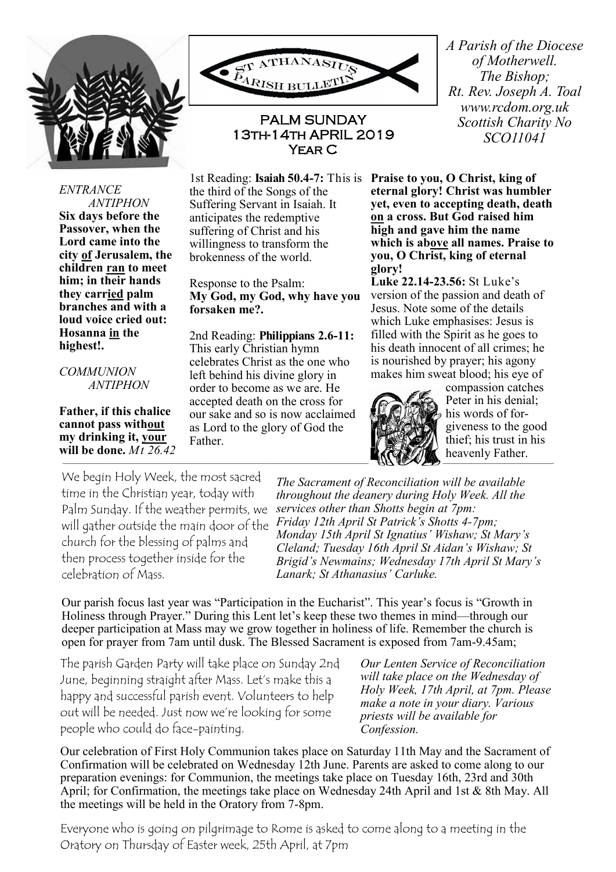

*ENTRANCE* 



## PALM SUNDAY 13th-14th APRIL 2019 Year C

the third of the Songs of the Suffering Servant in Isaiah. It anticipates the redemptive suffering of Christ and his willingness to transform the brokenness of the world.

Response to the Psalm: **My God, my God, why have you forsaken me?.**

2nd Reading: **Philippians 2.6-11:**  This early Christian hymn celebrates Christ as the one who left behind his divine glory in order to become as we are. He accepted death on the cross for our sake and so is now acclaimed as Lord to the glory of God the Father.

*A Parish of the Diocese of Motherwell. The Bishop; Rt. Rev. Joseph A. Toal www.rcdom.org.uk Scottish Charity No SCO11041*

1st Reading: **Isaiah 50.4-7:** This is **Praise to you, O Christ, king of eternal glory! Christ was humbler yet, even to accepting death, death on a cross. But God raised him high and gave him the name which is above all names. Praise to you, O Christ, king of eternal glory!** 

> **Luke 22.14-23.56:** St Luke's version of the passion and death of Jesus. Note some of the details which Luke emphasises: Jesus is filled with the Spirit as he goes to his death innocent of all crimes; he is nourished by prayer; his agony makes him sweat blood; his eye of



compassion catches Peter in his denial; his words of forgiveness to the good thief; his trust in his heavenly Father.

We begin Holy Week, the most sacred time in the Christian year, today with Palm Sunday. If the weather permits, we will gather outside the main door of the church for the blessing of palms and then process together inside for the celebration of Mass.

*The Sacrament of Reconciliation will be available throughout the deanery during Holy Week. All the services other than Shotts begin at 7pm: Friday 12th April St Patrick's Shotts 4-7pm; Monday 15th April St Ignatius' Wishaw; St Mary's Cleland; Tuesday 16th April St Aidan's Wishaw; St Brigid's Newmains; Wednesday 17th April St Mary's Lanark; St Athanasius' Carluke.*

Our parish focus last year was "Participation in the Eucharist". This year's focus is "Growth in Holiness through Prayer." During this Lent let's keep these two themes in mind—through our deeper participation at Mass may we grow together in holiness of life. Remember the church is open for prayer from 7am until dusk. The Blessed Sacrament is exposed from 7am-9.45am;

The parish Garden Party will take place on Sunday 2nd June, beginning straight after Mass. Let's make this a happy and successful parish event. Volunteers to help out will be needed. Just now we're looking for some people who could do face-painting.

*Our Lenten Service of Reconciliation will take place on the Wednesday of Holy Week, 17th April, at 7pm. Please make a note in your diary. Various priests will be available for Confession.*

Our celebration of First Holy Communion takes place on Saturday 11th May and the Sacrament of Confirmation will be celebrated on Wednesday 12th June. Parents are asked to come along to our preparation evenings: for Communion, the meetings take place on Tuesday 16th, 23rd and 30th April; for Confirmation, the meetings take place on Wednesday 24th April and 1st & 8th May. All the meetings will be held in the Oratory from 7-8pm.

Everyone who is going on pilgrimage to Rome is asked to come along to a meeting in the Oratory on Thursday of Easter week, 25th April, at 7pm

*ANTIPHON* **Six days before the Passover, when the Lord came into the city of Jerusalem, the children ran to meet him; in their hands they carried palm branches and with a loud voice cried out: Hosanna in the highest!.** 

*COMMUNION ANTIPHON*

**Father, if this chalice cannot pass without my drinking it, your will be done.** *Mt 26.42*